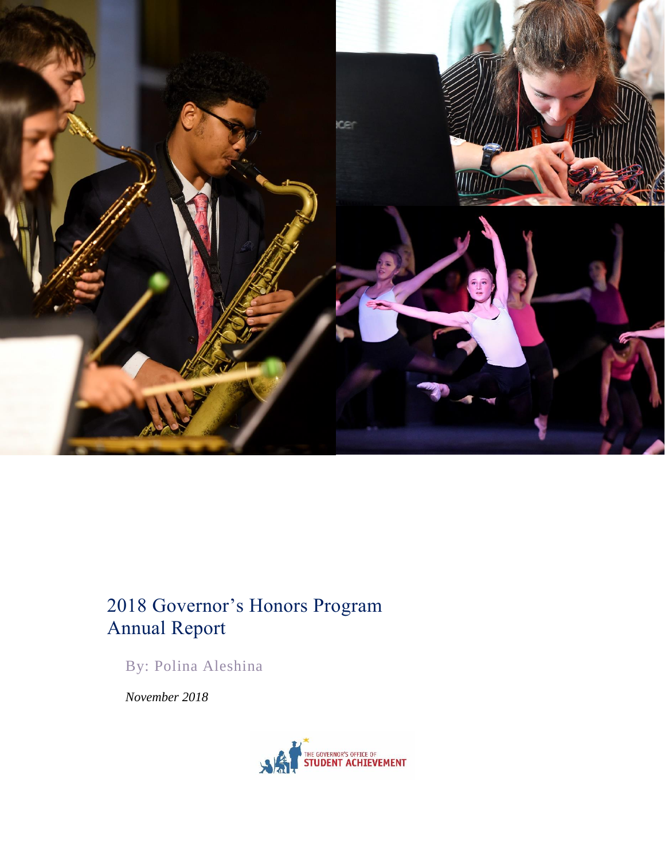

# 2018 Governor's Honors Program Annual Report

By: Polina Aleshina

*November 2018*

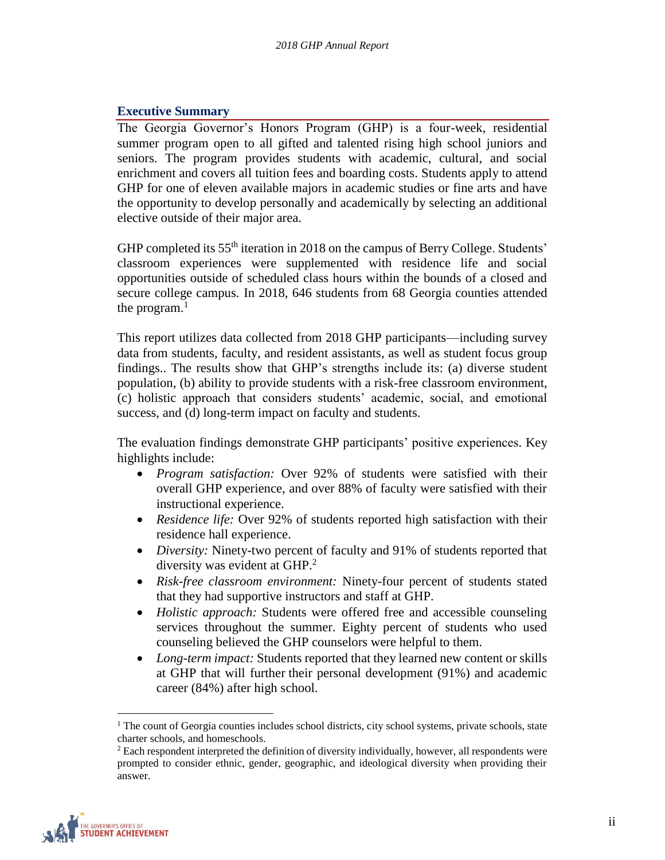# <span id="page-1-0"></span>**Executive Summary**

The Georgia Governor's Honors Program (GHP) is a four-week, residential summer program open to all gifted and talented rising high school juniors and seniors. The program provides students with academic, cultural, and social enrichment and covers all tuition fees and boarding costs. Students apply to attend GHP for one of eleven available majors in academic studies or fine arts and have the opportunity to develop personally and academically by selecting an additional elective outside of their major area.

GHP completed its 55<sup>th</sup> iteration in 2018 on the campus of Berry College. Students' classroom experiences were supplemented with residence life and social opportunities outside of scheduled class hours within the bounds of a closed and secure college campus. In 2018, 646 students from 68 Georgia counties attended the program. $<sup>1</sup>$ </sup>

This report utilizes data collected from 2018 GHP participants—including survey data from students, faculty, and resident assistants, as well as student focus group findings.. The results show that GHP's strengths include its: (a) diverse student population, (b) ability to provide students with a risk-free classroom environment, (c) holistic approach that considers students' academic, social, and emotional success, and (d) long-term impact on faculty and students.

The evaluation findings demonstrate GHP participants' positive experiences. Key highlights include:

- *Program satisfaction:* Over 92% of students were satisfied with their overall GHP experience, and over 88% of faculty were satisfied with their instructional experience.
- *Residence life:* Over 92% of students reported high satisfaction with their residence hall experience.
- *Diversity:* Ninety-two percent of faculty and 91% of students reported that diversity was evident at GHP.<sup>2</sup>
- *Risk-free classroom environment:* Ninety-four percent of students stated that they had supportive instructors and staff at GHP.
- *Holistic approach:* Students were offered free and accessible counseling services throughout the summer. Eighty percent of students who used counseling believed the GHP counselors were helpful to them.
- *Long-term impact:* Students reported that they learned new content or skills at GHP that will further their personal development (91%) and academic career (84%) after high school.

 $<sup>2</sup>$  Each respondent interpreted the definition of diversity individually, however, all respondents were</sup> prompted to consider ethnic, gender, geographic, and ideological diversity when providing their answer.



 $1$ <sup>T</sup>he count of Georgia counties includes school districts, city school systems, private schools, state charter schools, and homeschools.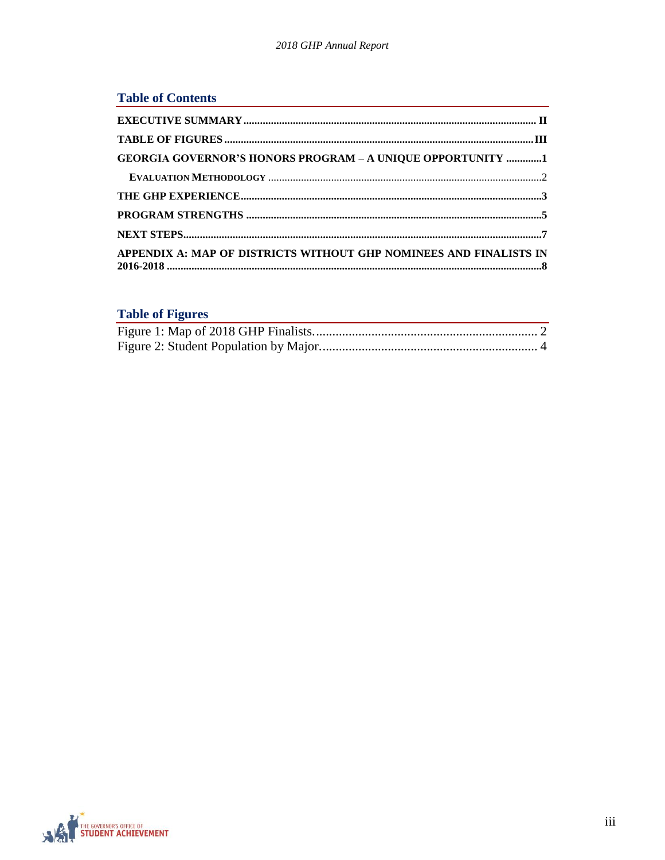| <b>Table of Contents</b>                                           |  |
|--------------------------------------------------------------------|--|
|                                                                    |  |
|                                                                    |  |
| <b>GEORGIA GOVERNOR'S HONORS PROGRAM - A UNIQUE OPPORTUNITY 1</b>  |  |
|                                                                    |  |
|                                                                    |  |
|                                                                    |  |
|                                                                    |  |
| APPENDIX A: MAP OF DISTRICTS WITHOUT GHP NOMINEES AND FINALISTS IN |  |

# <span id="page-2-0"></span>**Table of Figures**

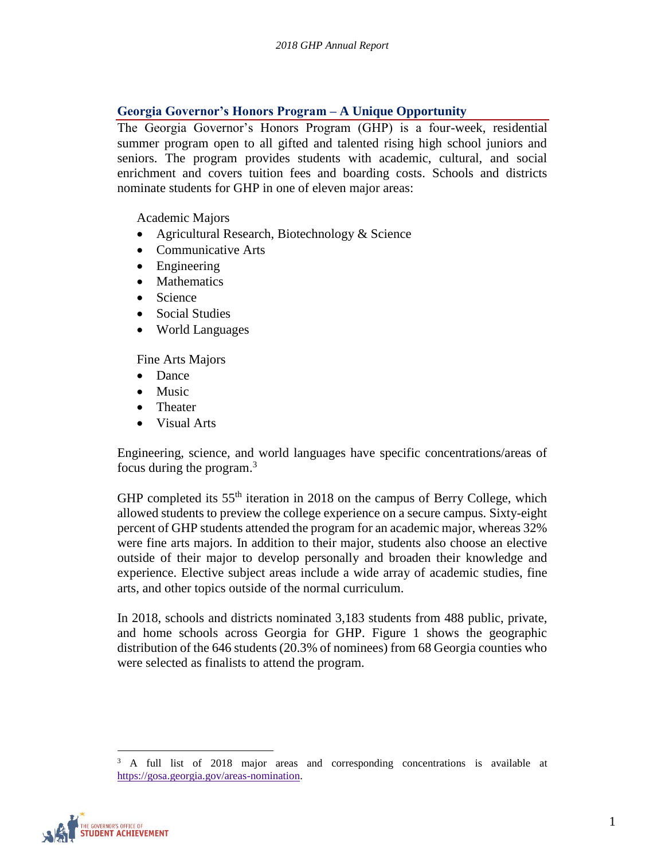# <span id="page-3-0"></span>**Georgia Governor's Honors Program – A Unique Opportunity**

The Georgia Governor's Honors Program (GHP) is a four-week, residential summer program open to all gifted and talented rising high school juniors and seniors. The program provides students with academic, cultural, and social enrichment and covers tuition fees and boarding costs. Schools and districts nominate students for GHP in one of eleven major areas:

Academic Majors

- Agricultural Research, Biotechnology & Science
- Communicative Arts
- Engineering
- Mathematics
- Science
- Social Studies
- World Languages

Fine Arts Majors

- Dance
- Music
- Theater
- Visual Arts

Engineering, science, and world languages have specific concentrations/areas of focus during the program.<sup>3</sup>

GHP completed its  $55<sup>th</sup>$  iteration in 2018 on the campus of Berry College, which allowed students to preview the college experience on a secure campus. Sixty-eight percent of GHP students attended the program for an academic major, whereas 32% were fine arts majors. In addition to their major, students also choose an elective outside of their major to develop personally and broaden their knowledge and experience. Elective subject areas include a wide array of academic studies, fine arts, and other topics outside of the normal curriculum.

In 2018, schools and districts nominated 3,183 students from 488 public, private, and home schools across Georgia for GHP. Figure 1 shows the geographic distribution of the 646 students (20.3% of nominees) from 68 Georgia counties who were selected as finalists to attend the program.

<sup>3</sup> A full list of 2018 major areas and corresponding concentrations is available at [https://gosa.georgia.gov/areas-nomination.](https://gosa.georgia.gov/areas-nomination) 

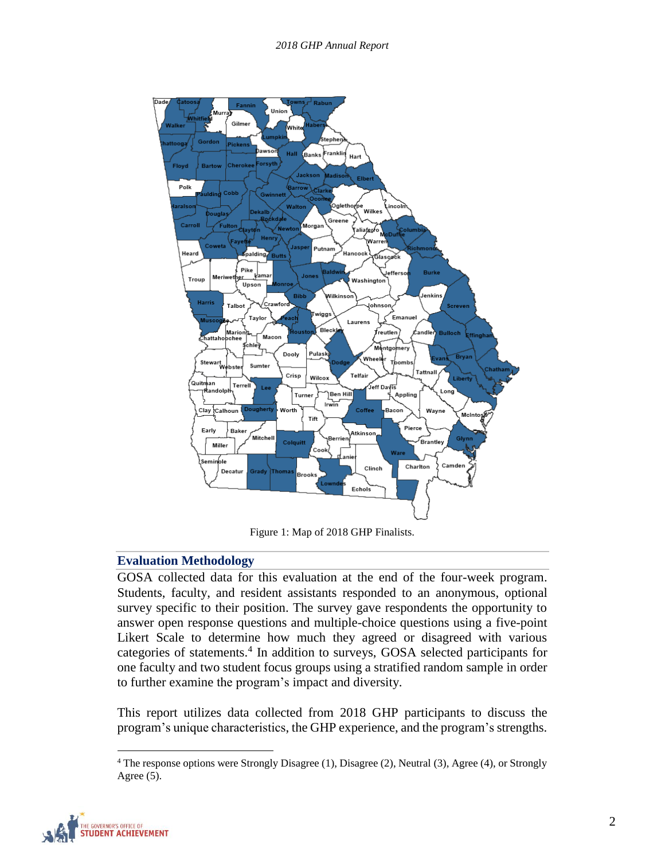

Figure 1: Map of 2018 GHP Finalists.

## <span id="page-4-1"></span><span id="page-4-0"></span>**Evaluation Methodology**

GOSA collected data for this evaluation at the end of the four-week program. Students, faculty, and resident assistants responded to an anonymous, optional survey specific to their position. The survey gave respondents the opportunity to answer open response questions and multiple-choice questions using a five-point Likert Scale to determine how much they agreed or disagreed with various categories of statements.<sup>4</sup> In addition to surveys, GOSA selected participants for one faculty and two student focus groups using a stratified random sample in order to further examine the program's impact and diversity.

This report utilizes data collected from 2018 GHP participants to discuss the program's unique characteristics, the GHP experience, and the program's strengths.

<sup>4</sup> The response options were Strongly Disagree (1), Disagree (2), Neutral (3), Agree (4), or Strongly Agree  $(5)$ .

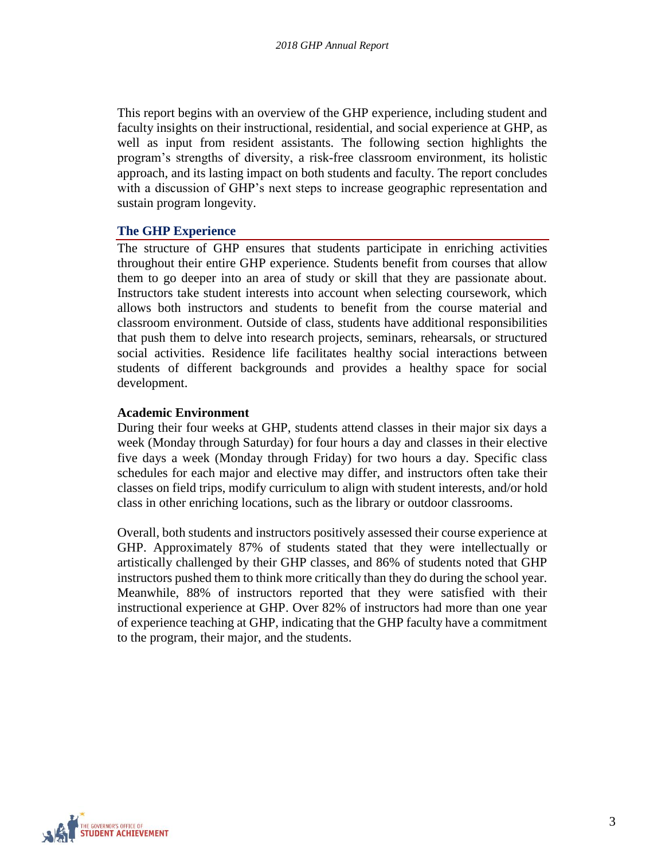This report begins with an overview of the GHP experience, including student and faculty insights on their instructional, residential, and social experience at GHP, as well as input from resident assistants. The following section highlights the program's strengths of diversity, a risk-free classroom environment, its holistic approach, and its lasting impact on both students and faculty. The report concludes with a discussion of GHP's next steps to increase geographic representation and sustain program longevity.

#### <span id="page-5-0"></span>**The GHP Experience**

The structure of GHP ensures that students participate in enriching activities throughout their entire GHP experience. Students benefit from courses that allow them to go deeper into an area of study or skill that they are passionate about. Instructors take student interests into account when selecting coursework, which allows both instructors and students to benefit from the course material and classroom environment. Outside of class, students have additional responsibilities that push them to delve into research projects, seminars, rehearsals, or structured social activities. Residence life facilitates healthy social interactions between students of different backgrounds and provides a healthy space for social development.

#### **Academic Environment**

During their four weeks at GHP, students attend classes in their major six days a week (Monday through Saturday) for four hours a day and classes in their elective five days a week (Monday through Friday) for two hours a day. Specific class schedules for each major and elective may differ, and instructors often take their classes on field trips, modify curriculum to align with student interests, and/or hold class in other enriching locations, such as the library or outdoor classrooms.

Overall, both students and instructors positively assessed their course experience at GHP. Approximately 87% of students stated that they were intellectually or artistically challenged by their GHP classes, and 86% of students noted that GHP instructors pushed them to think more critically than they do during the school year. Meanwhile, 88% of instructors reported that they were satisfied with their instructional experience at GHP. Over 82% of instructors had more than one year of experience teaching at GHP, indicating that the GHP faculty have a commitment to the program, their major, and the students.

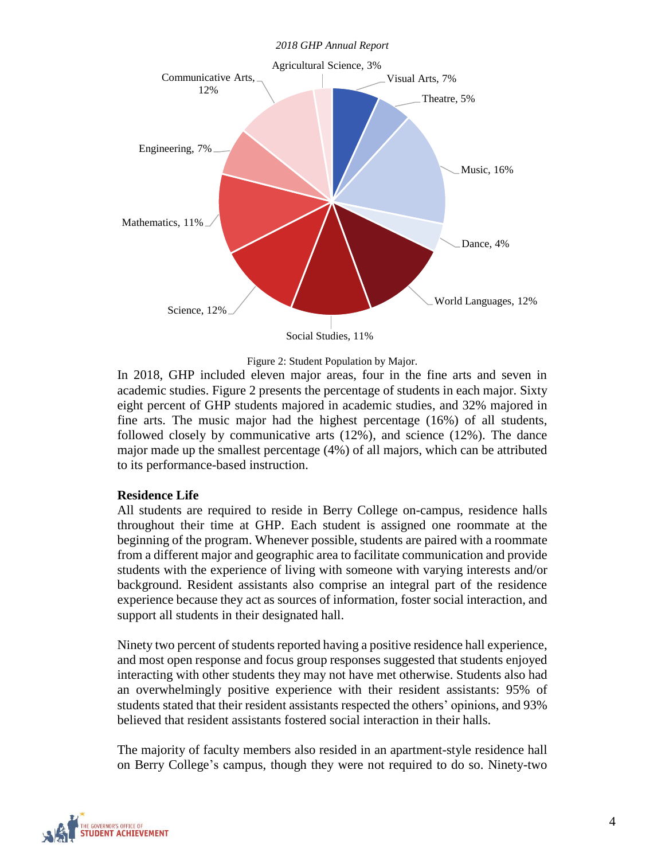*2018 GHP Annual Report*



Social Studies, 11%

Figure 2: Student Population by Major.

<span id="page-6-0"></span>In 2018, GHP included eleven major areas, four in the fine arts and seven in academic studies. Figure 2 presents the percentage of students in each major. Sixty eight percent of GHP students majored in academic studies, and 32% majored in fine arts. The music major had the highest percentage (16%) of all students, followed closely by communicative arts (12%), and science (12%). The dance major made up the smallest percentage (4%) of all majors, which can be attributed to its performance-based instruction.

#### **Residence Life**

All students are required to reside in Berry College on-campus, residence halls throughout their time at GHP. Each student is assigned one roommate at the beginning of the program. Whenever possible, students are paired with a roommate from a different major and geographic area to facilitate communication and provide students with the experience of living with someone with varying interests and/or background. Resident assistants also comprise an integral part of the residence experience because they act as sources of information, foster social interaction, and support all students in their designated hall.

Ninety two percent of students reported having a positive residence hall experience, and most open response and focus group responses suggested that students enjoyed interacting with other students they may not have met otherwise. Students also had an overwhelmingly positive experience with their resident assistants: 95% of students stated that their resident assistants respected the others' opinions, and 93% believed that resident assistants fostered social interaction in their halls.

The majority of faculty members also resided in an apartment-style residence hall on Berry College's campus, though they were not required to do so. Ninety-two

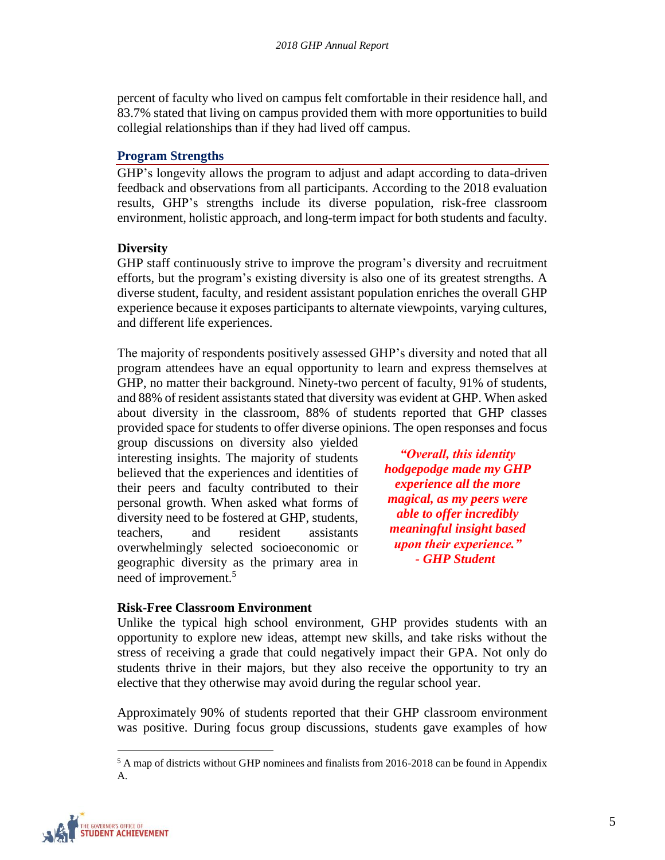percent of faculty who lived on campus felt comfortable in their residence hall, and 83.7% stated that living on campus provided them with more opportunities to build collegial relationships than if they had lived off campus.

#### <span id="page-7-0"></span>**Program Strengths**

GHP's longevity allows the program to adjust and adapt according to data-driven feedback and observations from all participants. According to the 2018 evaluation results, GHP's strengths include its diverse population, risk-free classroom environment, holistic approach, and long-term impact for both students and faculty.

## **Diversity**

GHP staff continuously strive to improve the program's diversity and recruitment efforts, but the program's existing diversity is also one of its greatest strengths. A diverse student, faculty, and resident assistant population enriches the overall GHP experience because it exposes participants to alternate viewpoints, varying cultures, and different life experiences.

The majority of respondents positively assessed GHP's diversity and noted that all program attendees have an equal opportunity to learn and express themselves at GHP, no matter their background. Ninety-two percent of faculty, 91% of students, and 88% of resident assistants stated that diversity was evident at GHP. When asked about diversity in the classroom, 88% of students reported that GHP classes provided space for students to offer diverse opinions. The open responses and focus

group discussions on diversity also yielded interesting insights. The majority of students believed that the experiences and identities of their peers and faculty contributed to their personal growth. When asked what forms of diversity need to be fostered at GHP, students, teachers, and resident assistants overwhelmingly selected socioeconomic or geographic diversity as the primary area in need of improvement.<sup>5</sup>

*"Overall, this identity hodgepodge made my GHP experience all the more magical, as my peers were able to offer incredibly meaningful insight based upon their experience." - GHP Student*

#### **Risk-Free Classroom Environment**

Unlike the typical high school environment, GHP provides students with an opportunity to explore new ideas, attempt new skills, and take risks without the stress of receiving a grade that could negatively impact their GPA. Not only do students thrive in their majors, but they also receive the opportunity to try an elective that they otherwise may avoid during the regular school year.

Approximately 90% of students reported that their GHP classroom environment was positive. During focus group discussions, students gave examples of how

 $5$  A map of districts without GHP nominees and finalists from 2016-2018 can be found in Appendix A.

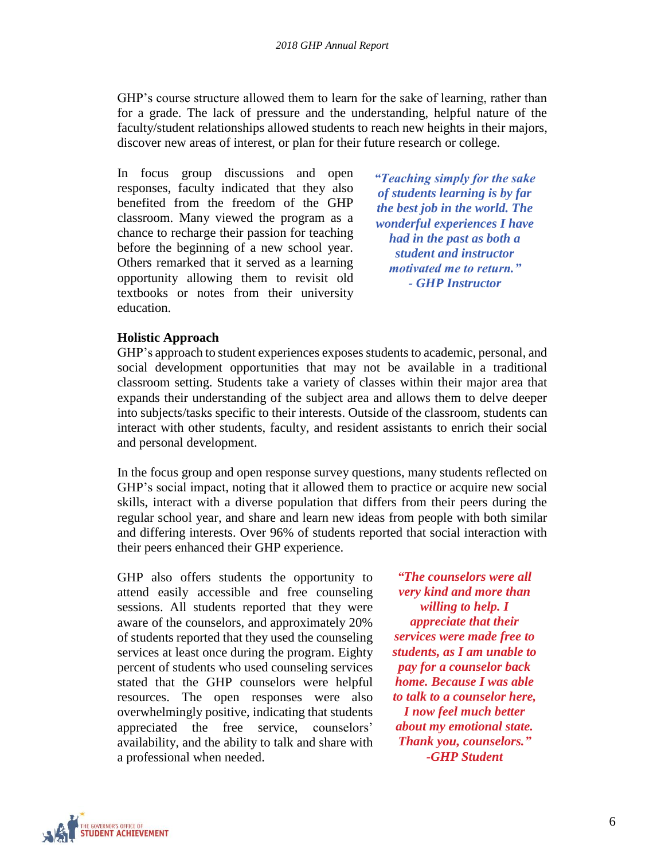GHP's course structure allowed them to learn for the sake of learning, rather than for a grade. The lack of pressure and the understanding, helpful nature of the faculty/student relationships allowed students to reach new heights in their majors, discover new areas of interest, or plan for their future research or college.

In focus group discussions and open responses, faculty indicated that they also benefited from the freedom of the GHP classroom. Many viewed the program as a chance to recharge their passion for teaching before the beginning of a new school year. Others remarked that it served as a learning opportunity allowing them to revisit old textbooks or notes from their university education.

*"Teaching simply for the sake of students learning is by far the best job in the world. The wonderful experiences I have had in the past as both a student and instructor motivated me to return." - GHP Instructor*

## **Holistic Approach**

GHP's approach to student experiences exposes students to academic, personal, and social development opportunities that may not be available in a traditional classroom setting. Students take a variety of classes within their major area that expands their understanding of the subject area and allows them to delve deeper into subjects/tasks specific to their interests. Outside of the classroom, students can interact with other students, faculty, and resident assistants to enrich their social and personal development.

In the focus group and open response survey questions, many students reflected on GHP's social impact, noting that it allowed them to practice or acquire new social skills, interact with a diverse population that differs from their peers during the regular school year, and share and learn new ideas from people with both similar and differing interests. Over 96% of students reported that social interaction with their peers enhanced their GHP experience.

GHP also offers students the opportunity to attend easily accessible and free counseling sessions. All students reported that they were aware of the counselors, and approximately 20% of students reported that they used the counseling services at least once during the program. Eighty percent of students who used counseling services stated that the GHP counselors were helpful resources. The open responses were also overwhelmingly positive, indicating that students appreciated the free service, counselors' availability, and the ability to talk and share with a professional when needed.

*"The counselors were all very kind and more than willing to help. I appreciate that their services were made free to students, as I am unable to pay for a counselor back home. Because I was able to talk to a counselor here, I now feel much better about my emotional state. Thank you, counselors." -GHP Student*

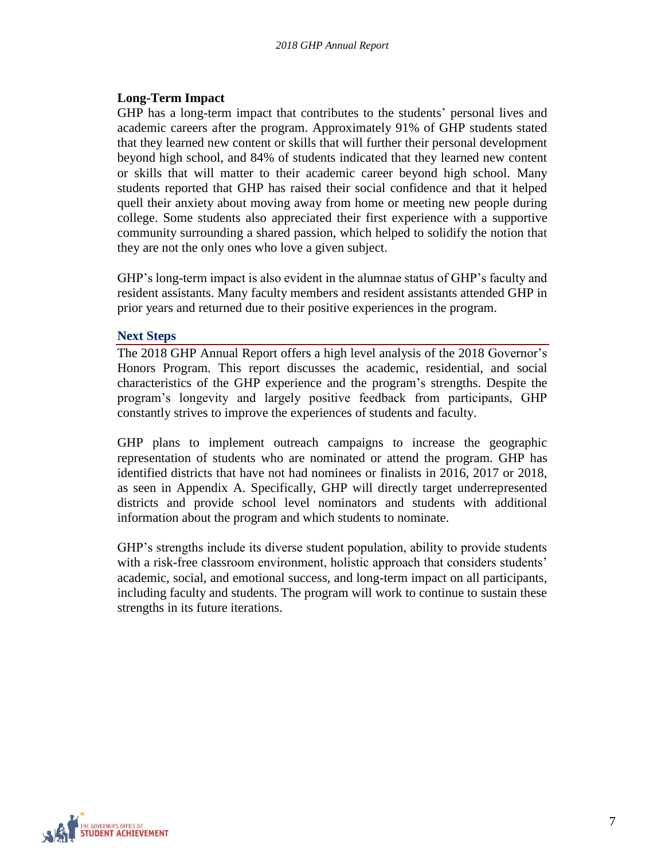# **Long-Term Impact**

GHP has a long-term impact that contributes to the students' personal lives and academic careers after the program. Approximately 91% of GHP students stated that they learned new content or skills that will further their personal development beyond high school, and 84% of students indicated that they learned new content or skills that will matter to their academic career beyond high school. Many students reported that GHP has raised their social confidence and that it helped quell their anxiety about moving away from home or meeting new people during college. Some students also appreciated their first experience with a supportive community surrounding a shared passion, which helped to solidify the notion that they are not the only ones who love a given subject.

GHP's long-term impact is also evident in the alumnae status of GHP's faculty and resident assistants. Many faculty members and resident assistants attended GHP in prior years and returned due to their positive experiences in the program.

#### <span id="page-9-0"></span>**Next Steps**

The 2018 GHP Annual Report offers a high level analysis of the 2018 Governor's Honors Program. This report discusses the academic, residential, and social characteristics of the GHP experience and the program's strengths. Despite the program's longevity and largely positive feedback from participants, GHP constantly strives to improve the experiences of students and faculty.

GHP plans to implement outreach campaigns to increase the geographic representation of students who are nominated or attend the program. GHP has identified districts that have not had nominees or finalists in 2016, 2017 or 2018, as seen in Appendix A. Specifically, GHP will directly target underrepresented districts and provide school level nominators and students with additional information about the program and which students to nominate.

GHP's strengths include its diverse student population, ability to provide students with a risk-free classroom environment, holistic approach that considers students' academic, social, and emotional success, and long-term impact on all participants, including faculty and students. The program will work to continue to sustain these strengths in its future iterations.